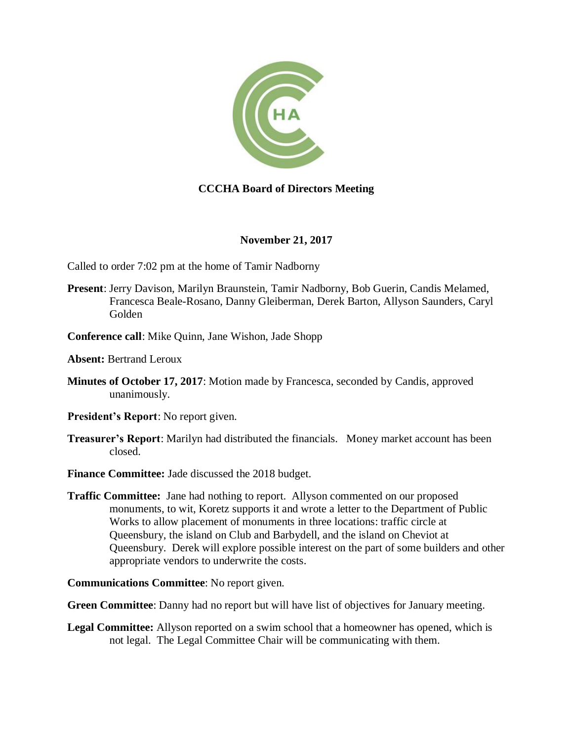

## **CCCHA Board of Directors Meeting**

## **November 21, 2017**

Called to order 7:02 pm at the home of Tamir Nadborny

- **Present**: Jerry Davison, Marilyn Braunstein, Tamir Nadborny, Bob Guerin, Candis Melamed, Francesca Beale-Rosano, Danny Gleiberman, Derek Barton, Allyson Saunders, Caryl Golden
- **Conference call**: Mike Quinn, Jane Wishon, Jade Shopp

**Absent:** Bertrand Leroux

- **Minutes of October 17, 2017**: Motion made by Francesca, seconded by Candis, approved unanimously.
- **President's Report**: No report given.
- **Treasurer's Report**: Marilyn had distributed the financials. Money market account has been closed.
- **Finance Committee:** Jade discussed the 2018 budget.
- **Traffic Committee:** Jane had nothing to report. Allyson commented on our proposed monuments, to wit, Koretz supports it and wrote a letter to the Department of Public Works to allow placement of monuments in three locations: traffic circle at Queensbury, the island on Club and Barbydell, and the island on Cheviot at Queensbury. Derek will explore possible interest on the part of some builders and other appropriate vendors to underwrite the costs.

**Communications Committee**: No report given.

**Green Committee**: Danny had no report but will have list of objectives for January meeting.

**Legal Committee:** Allyson reported on a swim school that a homeowner has opened, which is not legal. The Legal Committee Chair will be communicating with them.